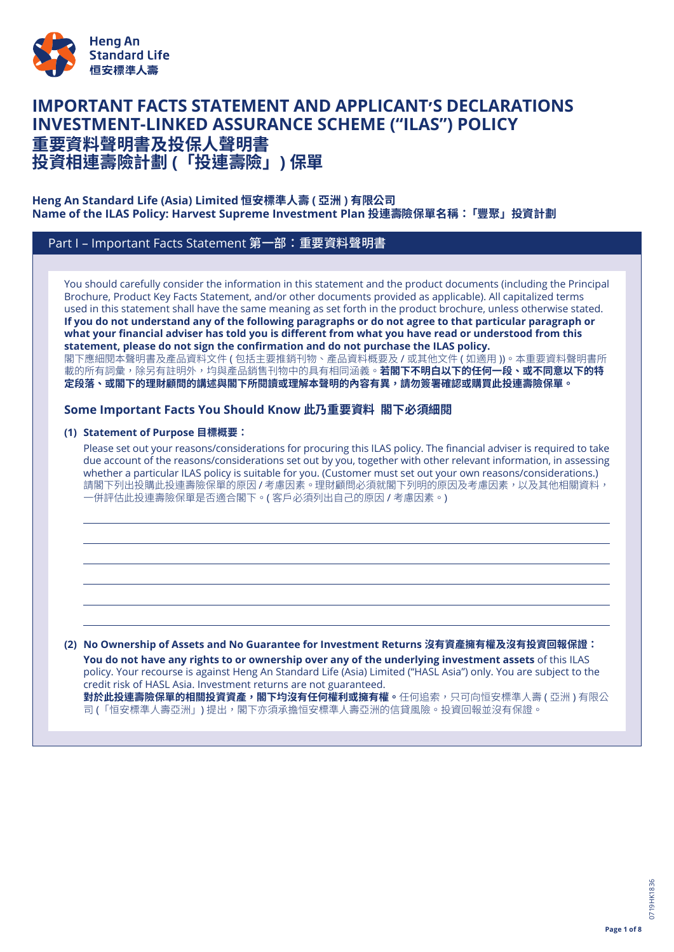

# **IMPORTANT FACTS STATEMENT AND APPLICANT'S DECLARATIONS INVESTMENT-LINKED ASSURANCE SCHEME ("ILAS") POLICY 重要資料聲明書及投保人聲明書**

**投資相連壽險計劃 (「投連壽險」) 保單**

# **Heng An Standard Life (Asia) Limited 恒安標準人壽 ( 亞洲 ) 有限公司 Name of the ILAS Policy: Harvest Supreme Investment Plan 投連壽險保單名稱:「豐聚」投資計劃**

# Part I – Important Facts Statement 第一部:重要資料聲明書

You should carefully consider the information in this statement and the product documents (including the Principal Brochure, Product Key Facts Statement, and/or other documents provided as applicable). All capitalized terms used in this statement shall have the same meaning as set forth in the product brochure, unless otherwise stated. If you do not understand any of the following paragraphs or do not agree to that particular paragraph or what your financial adviser has told you is different from what you have read or understood from this **statement, please do not sign the confirmation and do not purchase the ILAS policy.** 閣下應細閱本聲明書及產品資料文件 ( 包括主要推銷刊物、產品資料概要及 / 或其他文件 ( 如適用 ))。本重要資料聲明書所 載的所有詞彙,除另有註明外,均與產品銷售刊物中的具有相同涵義。**若閣下不明白以下的任何一段、或不同意以下的特** 定段落、或閣下的理財顧問的講述與閣下所閱讀或理解本聲明的內容有異,請勿簽署確認或購買此投連壽險保**單。** 

# **Some Important Facts You Should Know 此乃重要資料 閣下必須細閱**

## **(1) Statement of Purpose 目標概要:**

Please set out your reasons/considerations for procuring this ILAS policy. The financial adviser is required to take due account of the reasons/considerations set out by you, together with other relevant information, in assessing whether a particular ILAS policy is suitable for you. (Customer must set out your own reasons/considerations.) 請閣下列出投購此投連壽險保單的原因 / 考慮因素。理財顧問必須就閣下列明的原因及考慮因素,以及其他相關資料, 一併評估此投連壽險保單是否適合閣下。( 客戶必須列出自己的原因 / 考慮因素。)

#### **(2) No Ownership of Assets and No Guarantee for Investment Returns 沒有資產擁有權及沒有投資回報保證:**

**You do not have any rights to or ownership over any of the underlying investment assets** of this ILAS policy. Your recourse is against Heng An Standard Life (Asia) Limited ("HASL Asia") only. You are subject to the credit risk of HASL Asia. Investment returns are not guaranteed. **對於此投連壽險保單的相關投資資產,閣下均沒有任何權利或擁有權。**任何追索,只可向恒安標準人壽 ( 亞洲 ) 有限公 司 (「恒安標準人壽亞洲」) 提出,閣下亦須承擔恒安標準人壽亞洲的信貸風險。投資回報並沒有保證。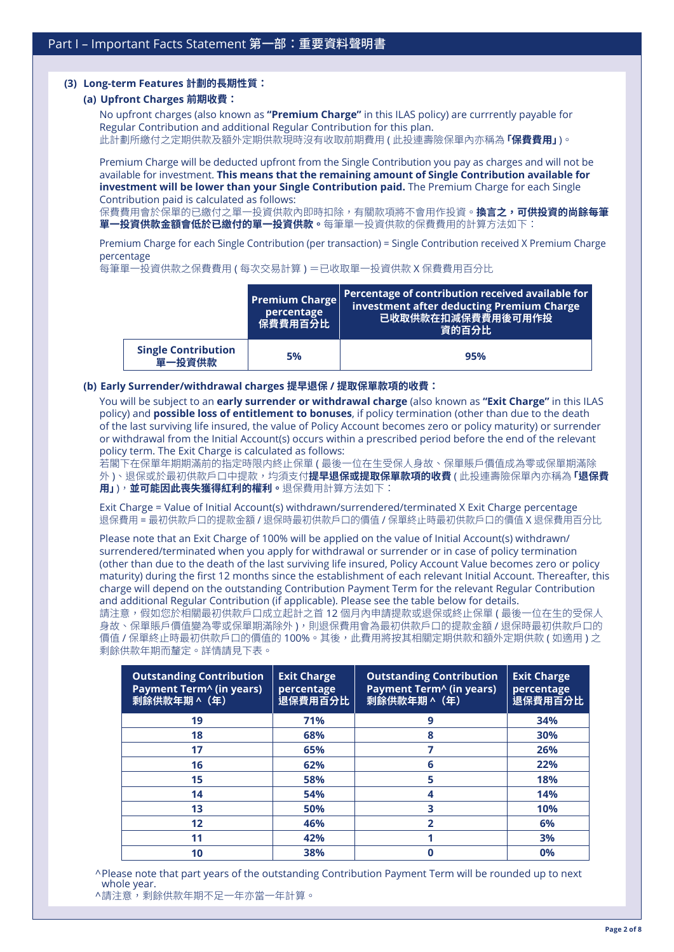### **(3) Long-term Features 計劃的長期性質:**

#### **(a) Upfront Charges 前期收費:**

No upfront charges (also known as **"Premium Charge"** in this ILAS policy) are currrently payable for Regular Contribution and additional Regular Contribution for this plan. 此計劃所繳付之定期供款及額外定期供款現時沒有收取前期費用 ( 此投連壽險保單內亦稱為**「保費費用」**)。

Premium Charge will be deducted upfront from the Single Contribution you pay as charges and will not be available for investment. **This means that the remaining amount of Single Contribution available for investment will be lower than your Single Contribution paid.** The Premium Charge for each Single Contribution paid is calculated as follows:

保費費用會於保單的已繳付之單一投資供款內即時扣除,有關款項將不會用作投資。**換言之,可供投資的尚餘每筆 單一投資供款金額會低於已繳付的單一投資供款。**每筆單一投資供款的保費費用的計算方法如下:

Premium Charge for each Single Contribution (per transaction) = Single Contribution received X Premium Charge percentage

每筆單一投資供款之保費費用 ( 每次交易計算 ) =已收取單一投資供款 X 保費費用百分比

|                                      | <b>Premium Charge</b><br>percentage<br>保費費用百分比 | Percentage of contribution received available for<br>investment after deducting Premium Charge<br><b>已收取供款在扣減保費費用後可用作投</b><br>資的百分比 |
|--------------------------------------|------------------------------------------------|-------------------------------------------------------------------------------------------------------------------------------------|
| <b>Single Contribution</b><br>單一投資供款 | 5%                                             | 95%                                                                                                                                 |

#### **(b) Early Surrender/withdrawal charges 提早退保 / 提取保單款項的收費:**

You will be subject to an **early surrender or withdrawal charge** (also known as **"Exit Charge"** in this ILAS policy) and **possible loss of entitlement to bonuses**, if policy termination (other than due to the death of the last surviving life insured, the value of Policy Account becomes zero or policy maturity) or surrender or withdrawal from the Initial Account(s) occurs within a prescribed period before the end of the relevant policy term. The Exit Charge is calculated as follows:

若閣下在保單年期期滿前的指定時限内終止保單 ( 最後一位在生受保人身故、保單賬戶價值成為零或保單期滿除 外 )、退保或於最初供款戶口中提款,均須支付**提早退保或提取保單款項的收費** ( 此投連壽險保單內亦稱為**「退保費 用」**),**並可能因此喪失獲得紅利的權利。**退保費用計算方法如下:

Exit Charge = Value of Initial Account(s) withdrawn/surrendered/terminated X Exit Charge percentage 退保費用 = 最初供款戶口的提款金額 / 退保時最初供款戶口的價值 / 保單終止時最初供款戶口的價值 X 退保費用百分比

Please note that an Exit Charge of 100% will be applied on the value of Initial Account(s) withdrawn/ surrendered/terminated when you apply for withdrawal or surrender or in case of policy termination (other than due to the death of the last surviving life insured, Policy Account Value becomes zero or policy maturity) during the first 12 months since the establishment of each relevant Initial Account. Thereafter, this charge will depend on the outstanding Contribution Payment Term for the relevant Regular Contribution and additional Regular Contribution (if applicable). Please see the table below for details.

請注意,假如您於相關最初供款戶口成立起計之首 12 個月內申請提款或退保或終止保單 ( 最後一位在生的受保人 身故、保單賬戶價值變為零或保單期滿除外 ),則退保費用會為最初供款戶口的提款金額 / 退保時最初供款戶口的 價值 / 保單終止時最初供款戶口的價值的 100%。其後,此費用將按其相關定期供款和額外定期供款 ( 如適用 ) 之 剩餘供款年期而釐定。詳情請見下表。

| <b>Outstanding Contribution</b><br>Payment Term <sup>^</sup> (in years)<br>剩餘供款年期 ^ (年) | <b>Exit Charge</b><br>percentage<br>退保費用百分比 | <b>Outstanding Contribution</b><br>Payment Term^ (in years)<br>剩餘供款年期 ^ (年) | <b>Exit Charge</b><br>percentage<br>退保費用百分比 |
|-----------------------------------------------------------------------------------------|---------------------------------------------|-----------------------------------------------------------------------------|---------------------------------------------|
| 19                                                                                      | 71%                                         | 9                                                                           | 34%                                         |
| 18                                                                                      | 68%                                         | 8                                                                           | 30%                                         |
| 17                                                                                      | 65%                                         |                                                                             | 26%                                         |
| 16                                                                                      | 62%                                         | 6                                                                           | 22%                                         |
| 15                                                                                      | 58%                                         | 5                                                                           | 18%                                         |
| 14                                                                                      | 54%                                         |                                                                             | 14%                                         |
| 13                                                                                      | 50%                                         | 3                                                                           | 10%                                         |
| $12 \overline{ }$                                                                       | 46%                                         | 2                                                                           | 6%                                          |
| 11                                                                                      | 42%                                         |                                                                             | 3%                                          |
| 10                                                                                      | 38%                                         |                                                                             | 0%                                          |

^Please note that part years of the outstanding Contribution Payment Term will be rounded up to next whole year.

<sup>^</sup>請注意,剩餘供款年期不足一年亦當一年計算。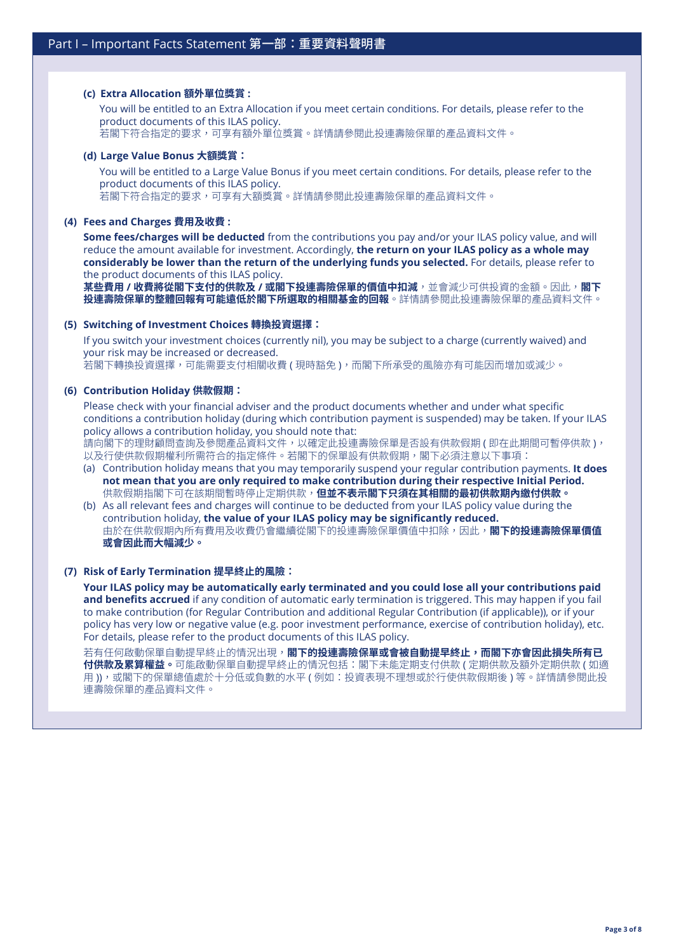## **(c) Extra Allocation 額外單位獎賞 :**

You will be entitled to an Extra Allocation if you meet certain conditions. For details, please refer to the product documents of this ILAS policy. .<br>若閣下符合指定的要求,可享有額外單位獎賞。詳情請參閱此投連壽險保單的產品資料文件。

#### **(d) Large Value Bonus 大額獎賞:**

You will be entitled to a Large Value Bonus if you meet certain conditions. For details, please refer to the product documents of this ILAS policy. .<br>若閣下符合指定的要求,可享有大額獎賞。詳情請參閱此投連壽險保單的產品資料文件。

#### **(4) Fees and Charges 費用及收費 :**

**Some fees/charges will be deducted** from the contributions you pay and/or your ILAS policy value, and will reduce the amount available for investment. Accordingly, **the return on your ILAS policy as a whole may considerably be lower than the return of the underlying funds you selected.** For details, please refer to the product documents of this ILAS policy.

**某些費用 / 收費將從閣下支付的供款及 / 或閣下投連壽險保單的價值中扣減**,並會減少可供投資的金額。因此,**閣下 投連壽險保單的整體回報有可能遠低於閣下所選取的相關基金的回報**。詳情請參閱此投連壽險保單的產品資料文件。

#### **(5) Switching of Investment Choices 轉換投資選擇:**

If you switch your investment choices (currently nil), you may be subject to a charge (currently waived) and your risk may be increased or decreased.

若閣下轉換投資選擇,可能需要支付相關收費 ( 現時豁免 ),而閣下所承受的風險亦有可能因而增加或減少。

#### **(6) Contribution Holiday 供款假期:**

Please check with your financial adviser and the product documents whether and under what specific conditions a contribution holiday (during which contribution payment is suspended) may be taken. If your ILAS policy allows a contribution holiday, you should note that: 請向閣下的理財顧問查詢及參閱產品資料文件,以確定此投連壽險保單是否設有供款假期 ( 即在此期間可暫停供款 ),

以及行使供款假期權利所需符合的指定條件。若閣下的保單設有供款假期,閣下必須注意以下事項:

- (a) Contribution holiday means that you may temporarily suspend your regular contribution payments. **It does not mean that you are only required to make contribution during their respective Initial Period.** 供款假期指閣下可在該期間暫時停止定期供款,**但並不表示閣下只須在其相關的最初供款期內繳付供款。**
- (b) As all relevant fees and charges will continue to be deducted from your ILAS policy value during the contribution holiday, **the value of your ILAS policy may be significantly reduced.** 由於在供款假期內所有費用及收費仍會繼續從閣下的投連壽險保單價值中扣除,因此,**閣下的投連壽險保單價值 或會因此而大幅減少。**

#### **(7) Risk of Early Termination 提早終止的風險:**

**Your ILAS policy may be automatically early terminated and you could lose all your contributions paid and benefits accrued** if any condition of automatic early termination is triggered. This may happen if you fail to make contribution (for Regular Contribution and additional Regular Contribution (if applicable)), or if your policy has very low or negative value (e.g. poor investment performance, exercise of contribution holiday), etc. For details, please refer to the product documents of this ILAS policy.

若有任何啟動保單自動提早終止的情況出現,**閣下的投連壽險保單或會被自動提早終止,而閣下亦會因此損失所有已 付供款及累算權益。**可能啟動保單自動提早終止的情況包括:閣下未能定期支付供款 ( 定期供款及額外定期供款 ( 如適 用)),或閣下的保單總值處於十分低或負數的水平 ( 例如:投資表現不理想或於行使供款假期後 ) 等。詳情請參閱此投 連壽險保單的產品資料文件。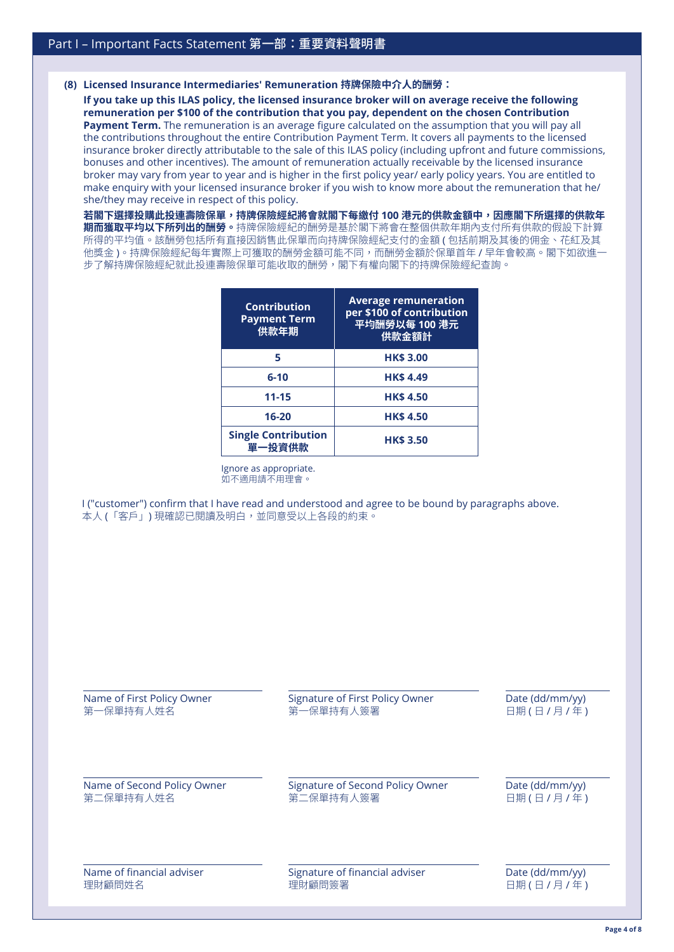#### **(8) Licensed Insurance Intermediaries' Remuneration 持牌保險中介人的酬勞:**

**If you take up this ILAS policy, the licensed insurance broker will on average receive the following remuneration per \$100 of the contribution that you pay, dependent on the chosen Contribution Payment Term.** The remuneration is an average figure calculated on the assumption that you will pay all the contributions throughout the entire Contribution Payment Term. It covers all payments to the licensed insurance broker directly attributable to the sale of this ILAS policy (including upfront and future commissions, bonuses and other incentives). The amount of remuneration actually receivable by the licensed insurance broker may vary from year to year and is higher in the first policy year/ early policy years. You are entitled to make enquiry with your licensed insurance broker if you wish to know more about the remuneration that he/ she/they may receive in respect of this policy.

**若閣下選擇投購此投連壽險保單,持牌保險經紀將會就閣下每繳付 100 港元的供款金額中,因應閣下所選擇的供款年 期而獲取平均以下所列出的酬勞。**持牌保險經紀的酬勞是基於閣下將會在整個供款年期內支付所有供款的假設下計算 所得的平均值。該酬勞包括所有直接因銷售此保單而向持牌保險經紀支付的金額 ( 包括前期及其後的佣金、花紅及其 他獎金)。持牌保險經紀每年實際上可獲取的酬勞金額可能不同,而酬勞金額於保單首年 / 早年會較高。閣下如欲進一 步了解持牌保險經紀就此投連壽險保單可能收取的酬勞,閣下有權向閣下的持牌保險經紀查詢。

| <b>Contribution</b><br><b>Payment Term</b><br>供款年期 | <b>Average remuneration</b><br>per \$100 of contribution<br>平均酬勞以每 100 港元<br>供款金額計 |
|----------------------------------------------------|------------------------------------------------------------------------------------|
| 5                                                  | <b>HK\$ 3.00</b>                                                                   |
| $6 - 10$                                           | <b>HK\$4.49</b>                                                                    |
| $11 - 15$                                          | <b>HK\$4.50</b>                                                                    |
| $16 - 20$                                          | <b>HK\$4.50</b>                                                                    |
| <b>Single Contribution</b><br>單一投資供款               | <b>HK\$ 3.50</b>                                                                   |

Ignore as appropriate. 如不適用請不用理會。

I ("customer") confirm that I have read and understood and agree to be bound by paragraphs above. 本人 (「客戶」) 現確認已閱讀及明白,並同意受以上各段的約束。

| Name of First Policy Owner  | Signature of First Policy Owner  | Date (dd/mm/yy) |
|-----------------------------|----------------------------------|-----------------|
| 第一保單持有人姓名                   | 第一保單持有人簽署                        | 日期(日/月/年)       |
| Name of Second Policy Owner | Signature of Second Policy Owner | Date (dd/mm/yy) |
| 第二保單持有人姓名                   | 第二保單持有人簽署                        | 日期(日/月/年)       |
| Name of financial adviser   | Signature of financial adviser   | Date (dd/mm/yy) |
| 理財顧問姓名                      | 理財顧問簽署                           | 日期(日/月/年)       |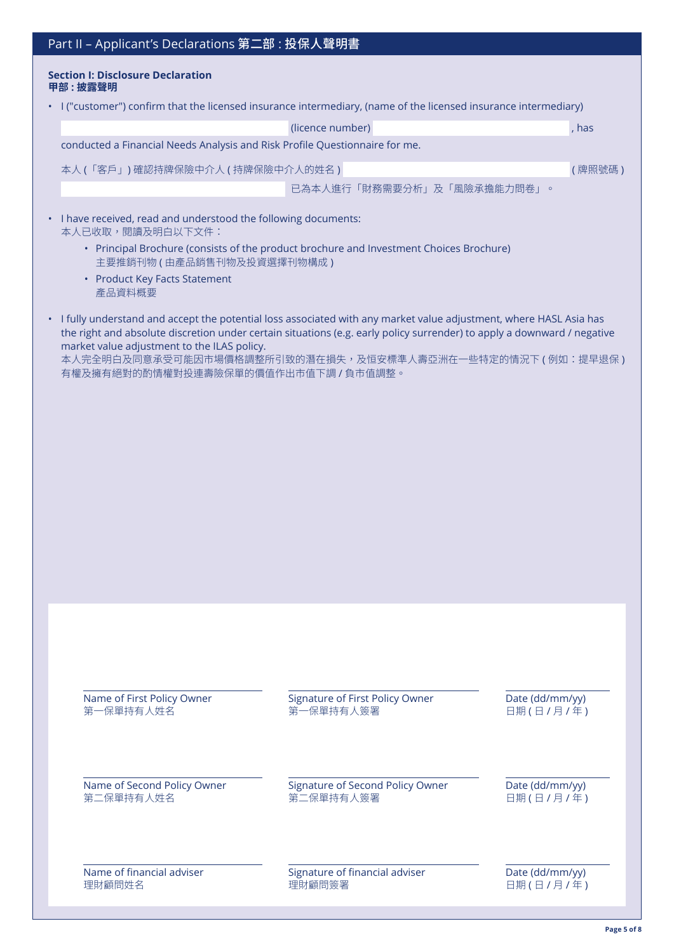| Part II - Applicant's Declarations 第二部: 投保人聲明書 |                                                                                                                                                                                                                                                                                                                                                                                                    |                                               |                              |  |  |
|------------------------------------------------|----------------------------------------------------------------------------------------------------------------------------------------------------------------------------------------------------------------------------------------------------------------------------------------------------------------------------------------------------------------------------------------------------|-----------------------------------------------|------------------------------|--|--|
|                                                | <b>Section I: Disclosure Declaration</b><br>甲部:披露聲明                                                                                                                                                                                                                                                                                                                                                |                                               |                              |  |  |
|                                                | • I ("customer") confirm that the licensed insurance intermediary, (name of the licensed insurance intermediary)                                                                                                                                                                                                                                                                                   |                                               |                              |  |  |
|                                                |                                                                                                                                                                                                                                                                                                                                                                                                    | (licence number)                              | , has                        |  |  |
|                                                | conducted a Financial Needs Analysis and Risk Profile Questionnaire for me.                                                                                                                                                                                                                                                                                                                        |                                               |                              |  |  |
|                                                | 本人(「客戶」)確認持牌保險中介人(持牌保險中介人的姓名)                                                                                                                                                                                                                                                                                                                                                                      |                                               | (牌照號碼)                       |  |  |
|                                                |                                                                                                                                                                                                                                                                                                                                                                                                    | 已為本人進行「財務需要分析」及「風險承擔能力問卷」。                    |                              |  |  |
|                                                | • I have received, read and understood the following documents:<br>本人已收取,閱讀及明白以下文件:                                                                                                                                                                                                                                                                                                                |                                               |                              |  |  |
|                                                | • Principal Brochure (consists of the product brochure and Investment Choices Brochure)<br>主要推銷刊物 (由產品銷售刊物及投資選擇刊物構成)                                                                                                                                                                                                                                                                               |                                               |                              |  |  |
|                                                | • Product Key Facts Statement<br>產品資料概要                                                                                                                                                                                                                                                                                                                                                            |                                               |                              |  |  |
|                                                | • I fully understand and accept the potential loss associated with any market value adjustment, where HASL Asia has<br>the right and absolute discretion under certain situations (e.g. early policy surrender) to apply a downward / negative<br>market value adjustment to the ILAS policy.<br>本人完全明白及同意承受可能因市場價格調整所引致的潛在損失,及恒安標準人壽亞洲在一些特定的情況下 (例如:提早退保)<br>有權及擁有絕對的酌情權對投連壽險保單的價值作出市值下調 / 負市值調整。 |                                               |                              |  |  |
|                                                |                                                                                                                                                                                                                                                                                                                                                                                                    |                                               |                              |  |  |
|                                                |                                                                                                                                                                                                                                                                                                                                                                                                    |                                               |                              |  |  |
|                                                |                                                                                                                                                                                                                                                                                                                                                                                                    |                                               |                              |  |  |
|                                                |                                                                                                                                                                                                                                                                                                                                                                                                    |                                               |                              |  |  |
|                                                |                                                                                                                                                                                                                                                                                                                                                                                                    |                                               |                              |  |  |
|                                                |                                                                                                                                                                                                                                                                                                                                                                                                    |                                               |                              |  |  |
|                                                |                                                                                                                                                                                                                                                                                                                                                                                                    |                                               |                              |  |  |
|                                                |                                                                                                                                                                                                                                                                                                                                                                                                    |                                               |                              |  |  |
|                                                |                                                                                                                                                                                                                                                                                                                                                                                                    |                                               |                              |  |  |
|                                                |                                                                                                                                                                                                                                                                                                                                                                                                    |                                               |                              |  |  |
|                                                |                                                                                                                                                                                                                                                                                                                                                                                                    |                                               |                              |  |  |
|                                                |                                                                                                                                                                                                                                                                                                                                                                                                    |                                               |                              |  |  |
|                                                |                                                                                                                                                                                                                                                                                                                                                                                                    |                                               |                              |  |  |
|                                                | Name of First Policy Owner<br>第一保單持有人姓名                                                                                                                                                                                                                                                                                                                                                            | Signature of First Policy Owner<br>第一保單持有人簽署  | Date (dd/mm/yy)<br>日期(日/月/年) |  |  |
|                                                |                                                                                                                                                                                                                                                                                                                                                                                                    |                                               |                              |  |  |
|                                                | Name of Second Policy Owner<br>第二保單持有人姓名                                                                                                                                                                                                                                                                                                                                                           | Signature of Second Policy Owner<br>第二保單持有人簽署 | Date (dd/mm/yy)<br>日期(日/月/年) |  |  |
|                                                |                                                                                                                                                                                                                                                                                                                                                                                                    |                                               |                              |  |  |
|                                                | Name of financial adviser<br>理財顧問姓名                                                                                                                                                                                                                                                                                                                                                                | Signature of financial adviser<br>理財顧問簽署      | Date (dd/mm/yy)<br>日期(日/月/年) |  |  |
|                                                |                                                                                                                                                                                                                                                                                                                                                                                                    |                                               |                              |  |  |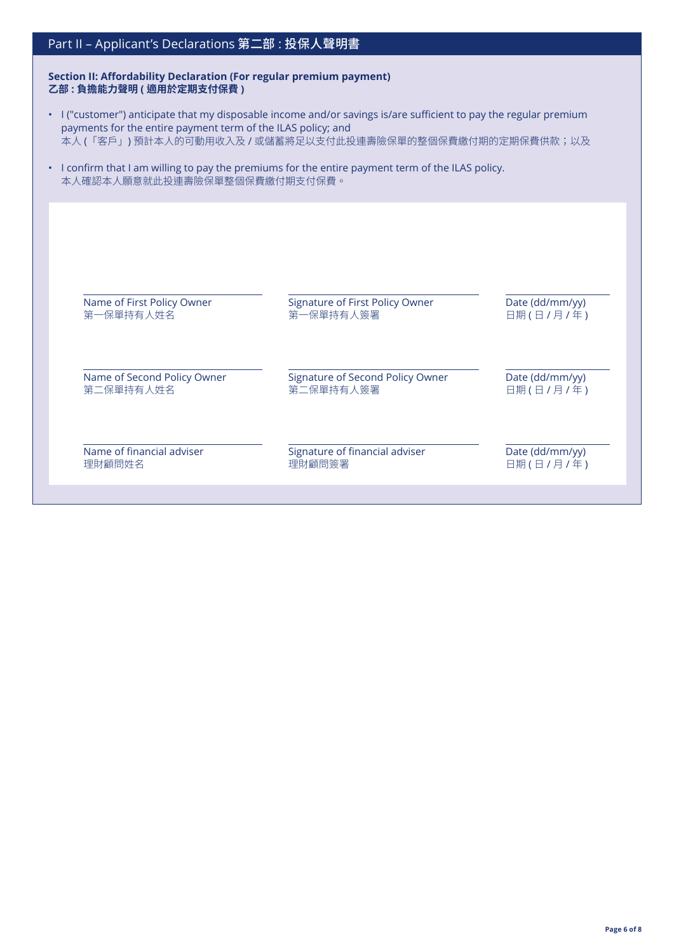# Part II – Applicant's Declarations 第二部 : 投保人聲明書

**Section II: Affordability Declaration (For regular premium payment) 乙部 : 負擔能力聲明 ( 適用於定期支付保費 )**

- I ("customer") anticipate that my disposable income and/or savings is/are sufficient to pay the regular premium payments for the entire payment term of the ILAS policy; and 本人 (「客戶」) 預計本人的可動用收入及 / 或儲蓄將足以支付此投連壽險保單的整個保費繳付期的定期保費供款;以及
- I confirm that I am willing to pay the premiums for the entire payment term of the ILAS policy. 本人確認本人願意就此投連壽險保單整個保費繳付期支付保費。

| Name of First Policy Owner  | Signature of First Policy Owner  | Date (dd/mm/yy) |
|-----------------------------|----------------------------------|-----------------|
| 第一保單持有人姓名                   | 第一保單持有人簽署                        | 日期(日/月/年)       |
| Name of Second Policy Owner | Signature of Second Policy Owner | Date (dd/mm/yy) |
| 第二保單持有人姓名                   | 第二保單持有人簽署                        | 日期(日/月/年)       |
| Name of financial adviser   | Signature of financial adviser   | Date (dd/mm/yy) |
| 理財顧問姓名                      | 理財顧問簽署                           | 日期(日/月/年)       |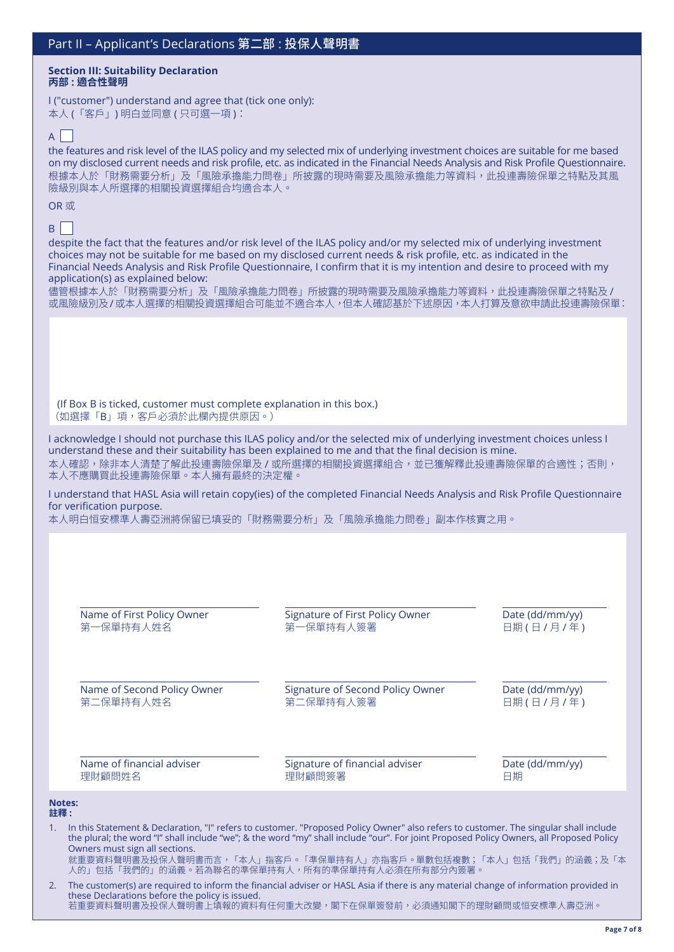#### **Section III: Suitability Declaration 丙部 : 適合性聲明**

I ("customer") understand and agree that (tick one only): 本人 (「客戶」) 明白並同意 ( 只可選一項 ):

# $A$

the features and risk level of the ILAS policy and my selected mix of underlying investment choices are suitable for me based on my disclosed current needs and risk profile, etc. as indicated in the Financial Needs Analysis and Risk Profile Questionnaire. 根據本人於「財務需要分析」及「風險承擔能力問卷」所披露的現時需要及風險承擔能力等資料,此投連壽險保單之特點及其風 險級別與本人所選擇的相關投資選擇組合均適合本人。

## OR 或

# $B$

**Notes: 註釋 :**

despite the fact that the features and/or risk level of the ILAS policy and/or my selected mix of underlying investment choices may not be suitable for me based on my disclosed current needs & risk profile, etc. as indicated in the Financial Needs Analysis and Risk Profile Questionnaire, I confirm that it is my intention and desire to proceed with my application(s) as explained below:

儘管根據本人於「財務需要分析」及「風險承擔能力問卷」所披露的現時需要及風險承擔能力等資料,此投連壽險保單之特點及 / 或風險級別及/或本人選擇的相關投資選擇組合可能並不適合本人,但本人確認基於下述原因,本人打算及意欲申請此投連壽險保單:

(If Box B is ticked, customer must complete explanation in this box.) (如選擇「B」項,客戶必須於此欄內提供原因。)

I acknowledge I should not purchase this ILAS policy and/or the selected mix of underlying investment choices unless I understand these and their suitability has been explained to me and that the final decision is mine. 本人確認,除非本人清楚了解此投連壽險保單及 / 或所選擇的相關投資選擇組合,並已獲解釋此投連壽險保單的合適性;否則, 本人不應購買此投連壽險保單。本人擁有最終的決定權。

I understand that HASL Asia will retain copy(ies) of the completed Financial Needs Analysis and Risk Profile Questionnaire for verification purpose.

本人明白恒安標準人壽亞洲將保留已填妥的「財務需要分析」及「風險承擔能力問卷」副本作核實之用。

| Name of First Policy Owner                             | Signature of First Policy Owner                                                                                                                                                                                                                                                                                                                                                                      | Date (dd/mm/yy) |
|--------------------------------------------------------|------------------------------------------------------------------------------------------------------------------------------------------------------------------------------------------------------------------------------------------------------------------------------------------------------------------------------------------------------------------------------------------------------|-----------------|
| 第一保單持有人姓名                                              | 第一保單持有人簽署                                                                                                                                                                                                                                                                                                                                                                                            | 日期(日/月/年)       |
| Name of Second Policy Owner                            | Signature of Second Policy Owner                                                                                                                                                                                                                                                                                                                                                                     | Date (dd/mm/yy) |
| 第二保單持有人姓名                                              | 第二保單持有人簽署                                                                                                                                                                                                                                                                                                                                                                                            | 日期(日/月/年)       |
| Name of financial adviser                              | Signature of financial adviser                                                                                                                                                                                                                                                                                                                                                                       | Date (dd/mm/yy) |
| 理財顧問姓名                                                 | 理財顧問簽署                                                                                                                                                                                                                                                                                                                                                                                               | 日期              |
| <b>Notes:</b><br>註釋:<br>Owners must sign all sections. | In this Statement & Declaration, "I" refers to customer. "Proposed Policy Owner" also refers to customer. The singular shall include<br>the plural; the word "I" shall include "we"; & the word "my" shall include "our". For joint Proposed Policy Owners, all Proposed Policy<br>就重要資料聲明書及投保人聲明書而言,「本人」指客戶。「準保單持有人」亦指客戶。單數包括複數;「本人」包括「我們」的涵義;及「本<br>人的」包括「我們的」的涵義。若為聯名的準保單持有人,所有的準保單持有人必須在所有部分內簽署。 |                 |

2. The customer(s) are required to inform the financial adviser or HASL Asia if there is any material change of information provided in these Declarations before the policy is issued. 若重要資料聲明書及投保人聲明書上填報的資料有任何重大改變,閣下在保單簽發前,必須通知閣下的理財顧問或恒安標準人壽亞洲。